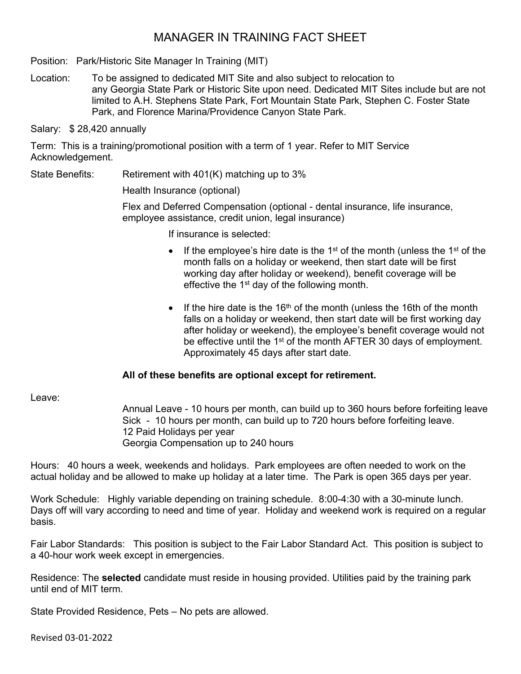# MANAGER IN TRAINING FACT SHEET

Position: Park/Historic Site Manager In Training (MIT)

Location: To be assigned to dedicated MIT Site and also subject to relocation to any Georgia State Park or Historic Site upon need. Dedicated MIT Sites include but are not limited to A.H. Stephens State Park, Fort Mountain State Park, Stephen C. Foster State Park, and Florence Marina/Providence Canyon State Park.

Salary: \$ 28,420 annually

Term: This is a training/promotional position with a term of 1 year. Refer to MIT Service Acknowledgement.

State Benefits: Retirement with 401(K) matching up to 3%

Health Insurance (optional)

Flex and Deferred Compensation (optional - dental insurance, life insurance, employee assistance, credit union, legal insurance)

If insurance is selected:

- If the employee's hire date is the 1<sup>st</sup> of the month (unless the 1<sup>st</sup> of the month falls on a holiday or weekend, then start date will be first working day after holiday or weekend), benefit coverage will be effective the  $1<sup>st</sup>$  day of the following month.
- If the hire date is the 16<sup>th</sup> of the month (unless the 16th of the month falls on a holiday or weekend, then start date will be first working day after holiday or weekend), the employee's benefit coverage would not be effective until the 1<sup>st</sup> of the month AFTER 30 days of employment. Approximately 45 days after start date.

## **All of these benefits are optional except for retirement.**

Leave:

Annual Leave - 10 hours per month, can build up to 360 hours before forfeiting leave Sick - 10 hours per month, can build up to 720 hours before forfeiting leave. 12 Paid Holidays per year Georgia Compensation up to 240 hours

Hours: 40 hours a week, weekends and holidays. Park employees are often needed to work on the actual holiday and be allowed to make up holiday at a later time. The Park is open 365 days per year.

Work Schedule: Highly variable depending on training schedule. 8:00-4:30 with a 30-minute lunch. Days off will vary according to need and time of year. Holiday and weekend work is required on a regular basis.

Fair Labor Standards: This position is subject to the Fair Labor Standard Act. This position is subject to a 40-hour work week except in emergencies.

Residence: The **selected** candidate must reside in housing provided. Utilities paid by the training park until end of MIT term.

State Provided Residence, Pets – No pets are allowed.

Revised 03-01-2022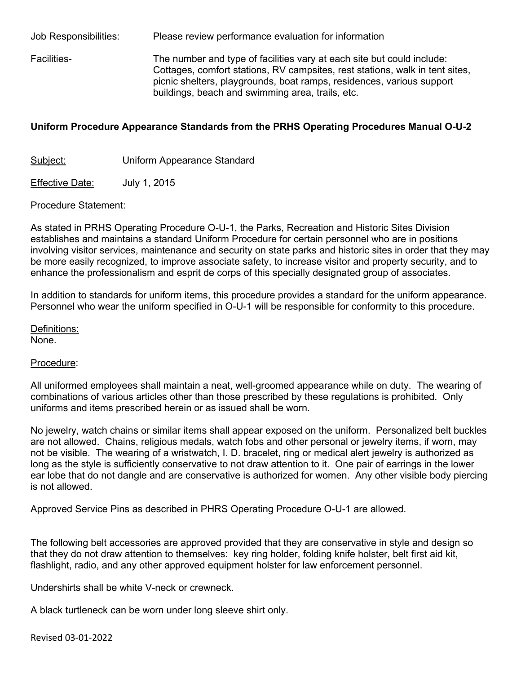Job Responsibilities: Please review performance evaluation for information Facilities- The number and type of facilities vary at each site but could include: Cottages, comfort stations, RV campsites, rest stations, walk in tent sites, picnic shelters, playgrounds, boat ramps, residences, various support buildings, beach and swimming area, trails, etc.

### **Uniform Procedure Appearance Standards from the PRHS Operating Procedures Manual O-U-2**

Subject: Uniform Appearance Standard

Effective Date: July 1, 2015

#### Procedure Statement:

As stated in PRHS Operating Procedure O-U-1, the Parks, Recreation and Historic Sites Division establishes and maintains a standard Uniform Procedure for certain personnel who are in positions involving visitor services, maintenance and security on state parks and historic sites in order that they may be more easily recognized, to improve associate safety, to increase visitor and property security, and to enhance the professionalism and esprit de corps of this specially designated group of associates.

In addition to standards for uniform items, this procedure provides a standard for the uniform appearance. Personnel who wear the uniform specified in O-U-1 will be responsible for conformity to this procedure.

Definitions:

None.

#### Procedure:

All uniformed employees shall maintain a neat, well-groomed appearance while on duty. The wearing of combinations of various articles other than those prescribed by these regulations is prohibited. Only uniforms and items prescribed herein or as issued shall be worn.

No jewelry, watch chains or similar items shall appear exposed on the uniform. Personalized belt buckles are not allowed. Chains, religious medals, watch fobs and other personal or jewelry items, if worn, may not be visible. The wearing of a wristwatch, I. D. bracelet, ring or medical alert jewelry is authorized as long as the style is sufficiently conservative to not draw attention to it. One pair of earrings in the lower ear lobe that do not dangle and are conservative is authorized for women. Any other visible body piercing is not allowed.

Approved Service Pins as described in PHRS Operating Procedure O-U-1 are allowed.

The following belt accessories are approved provided that they are conservative in style and design so that they do not draw attention to themselves: key ring holder, folding knife holster, belt first aid kit, flashlight, radio, and any other approved equipment holster for law enforcement personnel.

Undershirts shall be white V-neck or crewneck.

A black turtleneck can be worn under long sleeve shirt only.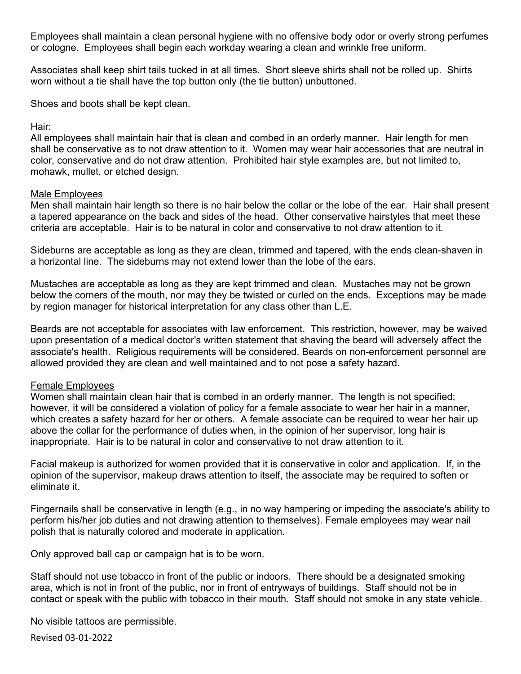Employees shall maintain a clean personal hygiene with no offensive body odor or overly strong perfumes or cologne. Employees shall begin each workday wearing a clean and wrinkle free uniform.

Associates shall keep shirt tails tucked in at all times. Short sleeve shirts shall not be rolled up. Shirts worn without a tie shall have the top button only (the tie button) unbuttoned.

Shoes and boots shall be kept clean.

#### Hair:

All employees shall maintain hair that is clean and combed in an orderly manner. Hair length for men shall be conservative as to not draw attention to it. Women may wear hair accessories that are neutral in color, conservative and do not draw attention. Prohibited hair style examples are, but not limited to, mohawk, mullet, or etched design.

#### Male Employees

Men shall maintain hair length so there is no hair below the collar or the lobe of the ear. Hair shall present a tapered appearance on the back and sides of the head. Other conservative hairstyles that meet these criteria are acceptable. Hair is to be natural in color and conservative to not draw attention to it.

Sideburns are acceptable as long as they are clean, trimmed and tapered, with the ends clean-shaven in a horizontal line. The sideburns may not extend lower than the lobe of the ears.

Mustaches are acceptable as long as they are kept trimmed and clean. Mustaches may not be grown below the corners of the mouth, nor may they be twisted or curled on the ends. Exceptions may be made by region manager for historical interpretation for any class other than L.E.

Beards are not acceptable for associates with law enforcement. This restriction, however, may be waived upon presentation of a medical doctor's written statement that shaving the beard will adversely affect the associate's health. Religious requirements will be considered. Beards on non-enforcement personnel are allowed provided they are clean and well maintained and to not pose a safety hazard.

#### Female Employees

Women shall maintain clean hair that is combed in an orderly manner. The length is not specified; however, it will be considered a violation of policy for a female associate to wear her hair in a manner, which creates a safety hazard for her or others. A female associate can be required to wear her hair up above the collar for the performance of duties when, in the opinion of her supervisor, long hair is inappropriate. Hair is to be natural in color and conservative to not draw attention to it.

Facial makeup is authorized for women provided that it is conservative in color and application. If, in the opinion of the supervisor, makeup draws attention to itself, the associate may be required to soften or eliminate it.

Fingernails shall be conservative in length (e.g., in no way hampering or impeding the associate's ability to perform his/her job duties and not drawing attention to themselves). Female employees may wear nail polish that is naturally colored and moderate in application.

Only approved ball cap or campaign hat is to be worn.

Staff should not use tobacco in front of the public or indoors. There should be a designated smoking area, which is not in front of the public, nor in front of entryways of buildings. Staff should not be in contact or speak with the public with tobacco in their mouth. Staff should not smoke in any state vehicle.

No visible tattoos are permissible.

Revised 03-01-2022